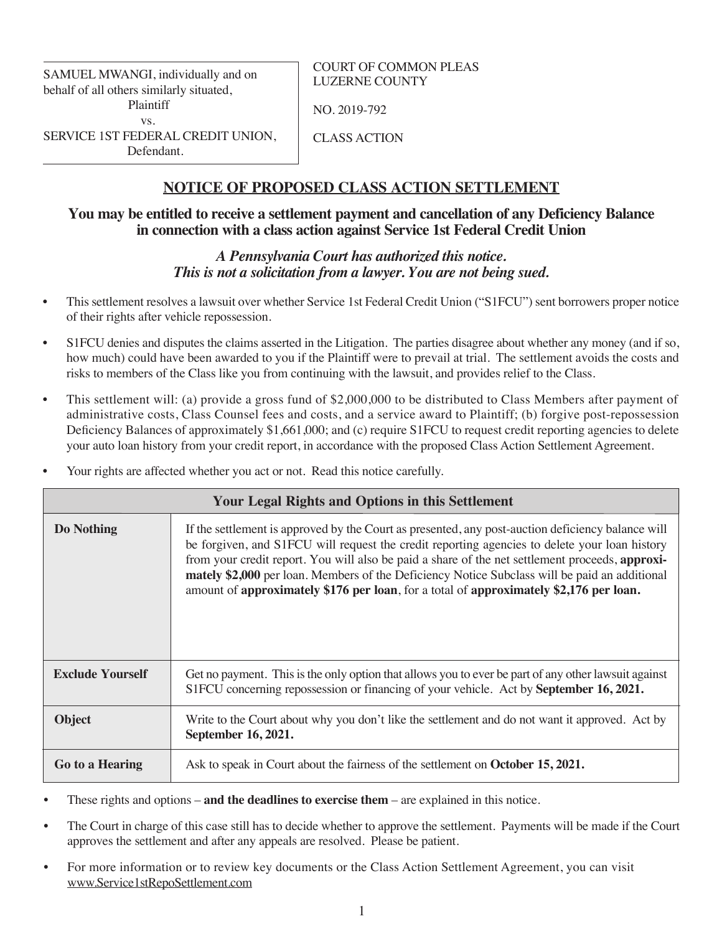SAMUEL MWANGI, individually and on behalf of all others similarly situated, Plaintiff vs. SERVICE 1ST FEDERAL CREDIT UNION, Defendant.

COURT OF COMMON PLEAS LUZERNE COUNTY

NO. 2019-792

CLASS ACTION

# **NOTICE OF PROPOSED CLASS ACTION SETTLEMENT**

# **You may be entitled to receive a settlement payment and cancellation of any Deficiency Balance in connection with a class action against Service 1st Federal Credit Union**

# *A Pennsylvania Court has authorized this notice. This is not a solicitation from a lawyer. You are not being sued.*

- This settlement resolves a lawsuit over whether Service 1st Federal Credit Union ("S1FCU") sent borrowers proper notice of their rights after vehicle repossession.
- S1FCU denies and disputes the claims asserted in the Litigation. The parties disagree about whether any money (and if so, how much) could have been awarded to you if the Plaintiff were to prevail at trial. The settlement avoids the costs and risks to members of the Class like you from continuing with the lawsuit, and provides relief to the Class.
- This settlement will: (a) provide a gross fund of \$2,000,000 to be distributed to Class Members after payment of administrative costs, Class Counsel fees and costs, and a service award to Plaintiff; (b) forgive post-repossession Deficiency Balances of approximately \$1,661,000; and (c) require S1FCU to request credit reporting agencies to delete your auto loan history from your credit report, in accordance with the proposed Class Action Settlement Agreement.
- Your rights are affected whether you act or not. Read this notice carefully.

| <b>Your Legal Rights and Options in this Settlement</b> |                                                                                                                                                                                                                                                                                                                                                                                                                                                                                                  |  |
|---------------------------------------------------------|--------------------------------------------------------------------------------------------------------------------------------------------------------------------------------------------------------------------------------------------------------------------------------------------------------------------------------------------------------------------------------------------------------------------------------------------------------------------------------------------------|--|
| Do Nothing                                              | If the settlement is approved by the Court as presented, any post-auction deficiency balance will<br>be forgiven, and S1FCU will request the credit reporting agencies to delete your loan history<br>from your credit report. You will also be paid a share of the net settlement proceeds, approxi-<br>mately \$2,000 per loan. Members of the Deficiency Notice Subclass will be paid an additional<br>amount of approximately \$176 per loan, for a total of approximately \$2,176 per loan. |  |
| <b>Exclude Yourself</b>                                 | Get no payment. This is the only option that allows you to ever be part of any other lawsuit against<br>S1FCU concerning repossession or financing of your vehicle. Act by September 16, 2021.                                                                                                                                                                                                                                                                                                   |  |
| <b>Object</b>                                           | Write to the Court about why you don't like the settlement and do not want it approved. Act by<br>September 16, 2021.                                                                                                                                                                                                                                                                                                                                                                            |  |
| Go to a Hearing                                         | Ask to speak in Court about the fairness of the settlement on October 15, 2021.                                                                                                                                                                                                                                                                                                                                                                                                                  |  |

These rights and options  $-\mathbf{and}$  the deadlines to exercise them  $-\mathbf{are}$  explained in this notice.

- The Court in charge of this case still has to decide whether to approve the settlement. Payments will be made if the Court approves the settlement and after any appeals are resolved. Please be patient.
- For more information or to review key documents or the Class Action Settlement Agreement, you can visit www.Service1stRepoSettlement.com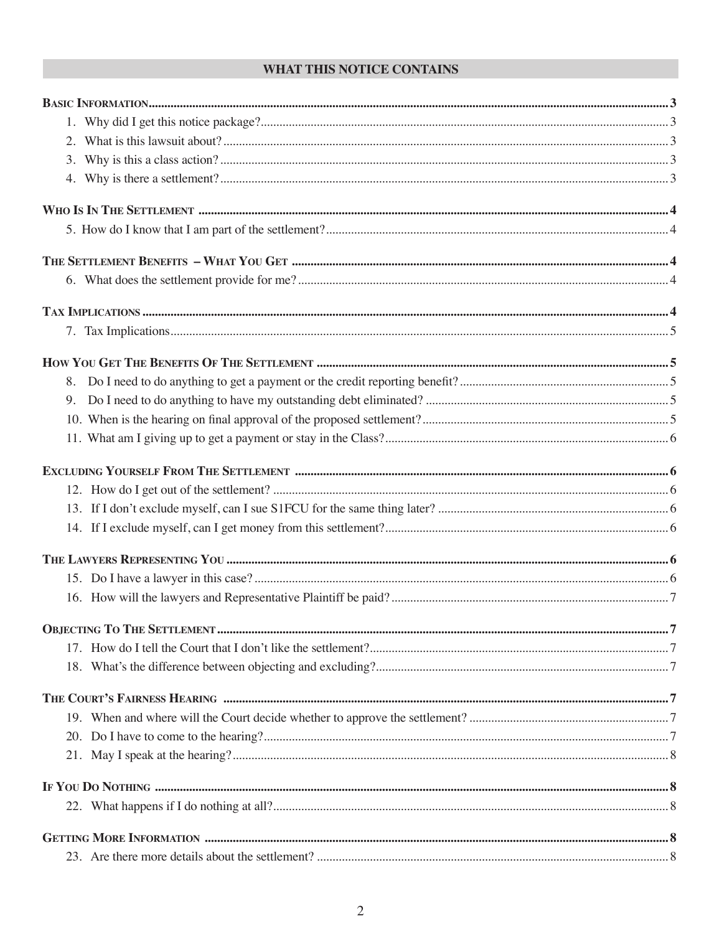# WHAT THIS NOTICE CONTAINS

| 8.                                                                                                                                      |  |
|-----------------------------------------------------------------------------------------------------------------------------------------|--|
| 9.                                                                                                                                      |  |
|                                                                                                                                         |  |
|                                                                                                                                         |  |
|                                                                                                                                         |  |
|                                                                                                                                         |  |
|                                                                                                                                         |  |
|                                                                                                                                         |  |
|                                                                                                                                         |  |
|                                                                                                                                         |  |
|                                                                                                                                         |  |
|                                                                                                                                         |  |
|                                                                                                                                         |  |
|                                                                                                                                         |  |
| THE COURT'S FAIRNESS HEARING <b>www.communically.communications</b> and constructions and constructions of the COURT'S FAIRNESS HEARING |  |
|                                                                                                                                         |  |
|                                                                                                                                         |  |
|                                                                                                                                         |  |
|                                                                                                                                         |  |
|                                                                                                                                         |  |
|                                                                                                                                         |  |
|                                                                                                                                         |  |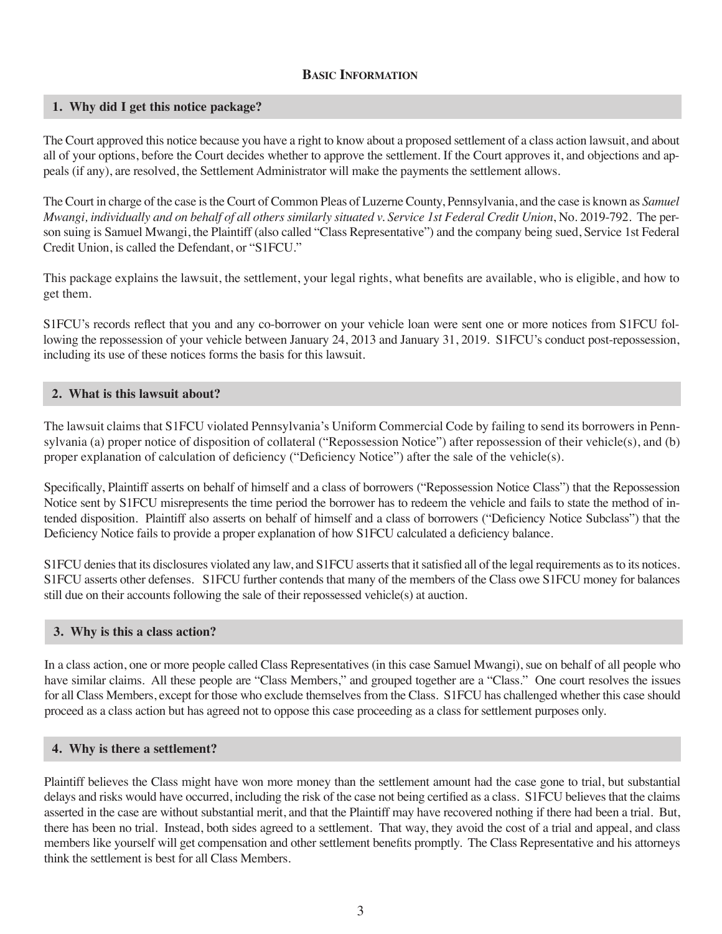# **BASIC INFORMATION**

# **1. Why did I get this notice package?**

The Court approved this notice because you have a right to know about a proposed settlement of a class action lawsuit, and about all of your options, before the Court decides whether to approve the settlement. If the Court approves it, and objections and appeals (if any), are resolved, the Settlement Administrator will make the payments the settlement allows.

The Court in charge of the case is the Court of Common Pleas of Luzerne County, Pennsylvania, and the case is known as *Samuel Mwangi, individually and on behalf of all others similarly situated v. Service 1st Federal Credit Union*, No. 2019-792. The person suing is Samuel Mwangi, the Plaintiff (also called "Class Representative") and the company being sued, Service 1st Federal Credit Union, is called the Defendant, or "S1FCU."

This package explains the lawsuit, the settlement, your legal rights, what benefits are available, who is eligible, and how to get them.

S1FCU's records reflect that you and any co-borrower on your vehicle loan were sent one or more notices from S1FCU following the repossession of your vehicle between January 24, 2013 and January 31, 2019. S1FCU's conduct post-repossession, including its use of these notices forms the basis for this lawsuit.

# **2. What is this lawsuit about?**

The lawsuit claims that S1FCU violated Pennsylvania's Uniform Commercial Code by failing to send its borrowers in Pennsylvania (a) proper notice of disposition of collateral ("Repossession Notice") after repossession of their vehicle(s), and (b) proper explanation of calculation of deficiency ("Deficiency Notice") after the sale of the vehicle(s).

Specifically, Plaintiff asserts on behalf of himself and a class of borrowers ("Repossession Notice Class") that the Repossession Notice sent by S1FCU misrepresents the time period the borrower has to redeem the vehicle and fails to state the method of intended disposition. Plaintiff also asserts on behalf of himself and a class of borrowers ("Deficiency Notice Subclass") that the Deficiency Notice fails to provide a proper explanation of how S1FCU calculated a deficiency balance.

S1FCU denies that its disclosures violated any law, and S1FCU asserts that it satisfied all of the legal requirements as to its notices. S1FCU asserts other defenses. S1FCU further contends that many of the members of the Class owe S1FCU money for balances still due on their accounts following the sale of their repossessed vehicle(s) at auction.

# **3. Why is this a class action?**

In a class action, one or more people called Class Representatives (in this case Samuel Mwangi), sue on behalf of all people who have similar claims. All these people are "Class Members," and grouped together are a "Class." One court resolves the issues for all Class Members, except for those who exclude themselves from the Class. S1FCU has challenged whether this case should proceed as a class action but has agreed not to oppose this case proceeding as a class for settlement purposes only.

# **4. Why is there a settlement?**

Plaintiff believes the Class might have won more money than the settlement amount had the case gone to trial, but substantial delays and risks would have occurred, including the risk of the case not being certified as a class. S1FCU believes that the claims asserted in the case are without substantial merit, and that the Plaintiff may have recovered nothing if there had been a trial. But, there has been no trial. Instead, both sides agreed to a settlement. That way, they avoid the cost of a trial and appeal, and class members like yourself will get compensation and other settlement benefits promptly. The Class Representative and his attorneys think the settlement is best for all Class Members.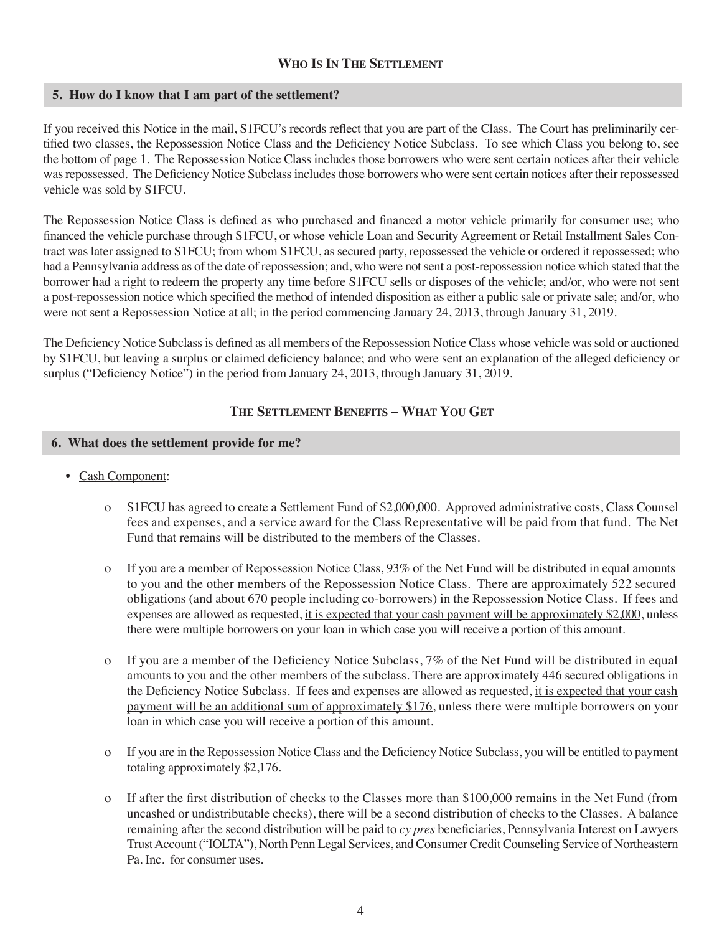# **WHO IS IN THE SETTLEMENT**

# **5. How do I know that I am part of the settlement?**

If you received this Notice in the mail, S1FCU's records reflect that you are part of the Class. The Court has preliminarily certified two classes, the Repossession Notice Class and the Deficiency Notice Subclass. To see which Class you belong to, see the bottom of page 1. The Repossession Notice Class includes those borrowers who were sent certain notices after their vehicle was repossessed. The Deficiency Notice Subclass includes those borrowers who were sent certain notices after their repossessed vehicle was sold by S1FCU.

The Repossession Notice Class is defined as who purchased and financed a motor vehicle primarily for consumer use; who financed the vehicle purchase through S1FCU, or whose vehicle Loan and Security Agreement or Retail Installment Sales Contract was later assigned to S1FCU; from whom S1FCU, as secured party, repossessed the vehicle or ordered it repossessed; who had a Pennsylvania address as of the date of repossession; and, who were not sent a post-repossession notice which stated that the borrower had a right to redeem the property any time before S1FCU sells or disposes of the vehicle; and/or, who were not sent a post-repossession notice which specified the method of intended disposition as either a public sale or private sale; and/or, who were not sent a Repossession Notice at all; in the period commencing January 24, 2013, through January 31, 2019.

The Deficiency Notice Subclass is defined as all members of the Repossession Notice Class whose vehicle was sold or auctioned by S1FCU, but leaving a surplus or claimed deficiency balance; and who were sent an explanation of the alleged deficiency or surplus ("Deficiency Notice") in the period from January 24, 2013, through January 31, 2019.

# **THE SETTLEMENT BENEFITS – WHAT YOU GET**

# **6. What does the settlement provide for me?**

- Cash Component:
	- o S1FCU has agreed to create a Settlement Fund of \$2,000,000. Approved administrative costs, Class Counsel fees and expenses, and a service award for the Class Representative will be paid from that fund. The Net Fund that remains will be distributed to the members of the Classes.
	- o If you are a member of Repossession Notice Class, 93% of the Net Fund will be distributed in equal amounts to you and the other members of the Repossession Notice Class. There are approximately 522 secured obligations (and about 670 people including co-borrowers) in the Repossession Notice Class. If fees and expenses are allowed as requested, <u>it is expected that your cash payment will be approximately \$2,000</u>, unless there were multiple borrowers on your loan in which case you will receive a portion of this amount.
	- o If you are a member of the Deficiency Notice Subclass,  $7\%$  of the Net Fund will be distributed in equal amounts to you and the other members of the subclass. There are approximately 446 secured obligations in the Deficiency Notice Subclass. If fees and expenses are allowed as requested, it is expected that your cash payment will be an additional sum of approximately \$176, unless there were multiple borrowers on your loan in which case you will receive a portion of this amount.
	- o If you are in the Repossession Notice Class and the Deficiency Notice Subclass, you will be entitled to payment totaling approximately  $$2,176$ .
	- o If after the first distribution of checks to the Classes more than \$100,000 remains in the Net Fund (from uncashed or undistributable checks), there will be a second distribution of checks to the Classes. A balance remaining after the second distribution will be paid to *cy pres* beneficiaries, Pennsylvania Interest on Lawyers Trust Account ("IOLTA"), North Penn Legal Services, and Consumer Credit Counseling Service of Northeastern Pa. Inc. for consumer uses.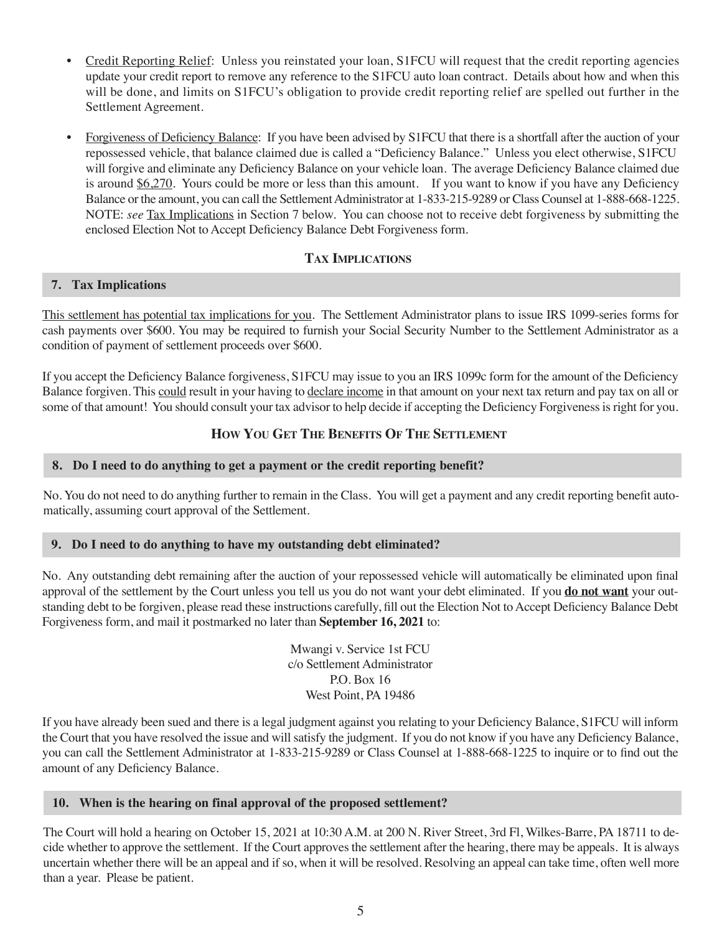- Credit Reporting Relief: Unless you reinstated your loan, S1FCU will request that the credit reporting agencies update your credit report to remove any reference to the S1FCU auto loan contract. Details about how and when this will be done, and limits on S1FCU's obligation to provide credit reporting relief are spelled out further in the Settlement Agreement.
- Forgiveness of Deficiency Balance: If you have been advised by S1FCU that there is a shortfall after the auction of your repossessed vehicle, that balance claimed due is called a "Deficiency Balance." Unless you elect otherwise, S1FCU will forgive and eliminate any Deficiency Balance on your vehicle loan. The average Deficiency Balance claimed due is around  $$6,270$ . Yours could be more or less than this amount. If you want to know if you have any Deficiency Balance or the amount, you can call the Settlement Administrator at 1-833-215-9289 or Class Counsel at 1-888-668-1225. NOTE: *see* Tax Implications in Section 7 below. You can choose not to receive debt forgiveness by submitting the enclosed Election Not to Accept Deficiency Balance Debt Forgiveness form.

# **TAX IMPLICATIONS**

# **7. Tax Implications**

This settlement has potential tax implications for you. The Settlement Administrator plans to issue IRS 1099-series forms for cash payments over \$600. You may be required to furnish your Social Security Number to the Settlement Administrator as a condition of payment of settlement proceeds over \$600.

If you accept the Deficiency Balance forgiveness, S1FCU may issue to you an IRS 1099c form for the amount of the Deficiency Balance forgiven. This could result in your having to declare income in that amount on your next tax return and pay tax on all or some of that amount! You should consult your tax advisor to help decide if accepting the Deficiency Forgiveness is right for you.

# **HOW YOU GET THE BENEFITS OF THE SETTLEMENT**

# **8. Do I need to do anything to get a payment or the credit reporting benefit?**

No. You do not need to do anything further to remain in the Class. You will get a payment and any credit reporting benefit automatically, assuming court approval of the Settlement.

# **9. Do I need to do anything to have my outstanding debt eliminated?**

No. Any outstanding debt remaining after the auction of your repossessed vehicle will automatically be eliminated upon final approval of the settlement by the Court unless you tell us you do not want your debt eliminated. If you **do not want** your outstanding debt to be forgiven, please read these instructions carefully, fill out the Election Not to Accept Deficiency Balance Debt Forgiveness form, and mail it postmarked no later than **September 16, 2021** to:

> Mwangi v. Service 1st FCU c/o Settlement Administrator  $PQ$ . Box 16 West Point, PA 19486

If you have already been sued and there is a legal judgment against you relating to your Deficiency Balance, S1FCU will inform the Court that you have resolved the issue and will satisfy the judgment. If you do not know if you have any Deficiency Balance, you can call the Settlement Administrator at 1-833-215-9289 or Class Counsel at 1-888-668-1225 to inquire or to find out the amount of any Deficiency Balance.

# **10. When is the hearing on final approval of the proposed settlement?**

The Court will hold a hearing on October 15, 2021 at 10:30 A.M. at 200 N. River Street, 3rd Fl, Wilkes-Barre, PA 18711 to decide whether to approve the settlement. If the Court approves the settlement after the hearing, there may be appeals. It is always uncertain whether there will be an appeal and if so, when it will be resolved. Resolving an appeal can take time, often well more than a year. Please be patient.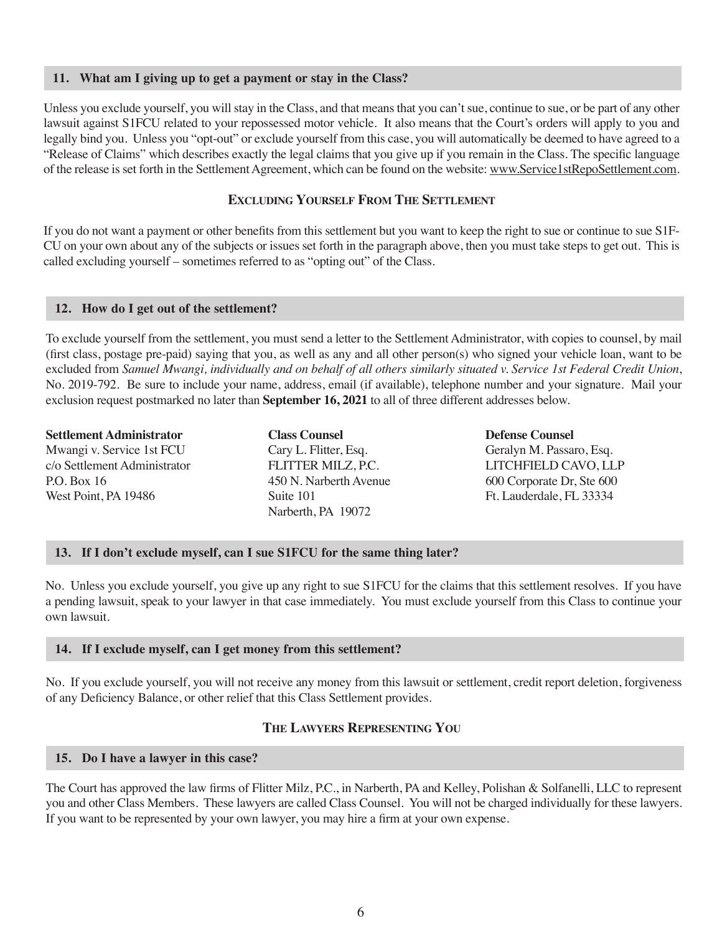# **11. What am I giving up to get a payment or stay in the Class?**

Unless you exclude yourself, you will stay in the Class, and that means that you can't sue, continue to sue, or be part of any other lawsuit against S1FCU related to your repossessed motor vehicle. It also means that the Court's orders will apply to you and legally bind you. Unless you "opt-out" or exclude yourself from this case, you will automatically be deemed to have agreed to a "Release of Claims" which describes exactly the legal claims that you give up if you remain in the Class. The specific language of the release is set forth in the Settlement Agreement, which can be found on the website: www.Service1stRepoSettlement.com.

### **EXCLUDING YOURSELF FROM THE SETTLEMENT**

If you do not want a payment or other benefits from this settlement but you want to keep the right to sue or continue to sue S1F-CU on your own about any of the subjects or issues set forth in the paragraph above, then you must take steps to get out. This is called excluding yourself – sometimes referred to as "opting out" of the Class.

#### **12. How do I get out of the settlement?**

To exclude yourself from the settlement, you must send a letter to the Settlement Administrator, with copies to counsel, by mail (first class, postage pre-paid) saying that you, as well as any and all other person(s) who signed your vehicle loan, want to be excluded from Samuel Mwangi, individually and on behalf of all others similarly situated v. Service 1st Federal Credit Union, No. 2019-792. Be sure to include your name, address, email (if available), telephone number and your signature. Mail your exclusion request postmarked no later than September 16, 2021 to all of three different addresses below.

**Settlement Administrator** Mwangi v. Service 1st FCU c/o Settlement Administrator P.O. Box 16 West Point, PA 19486

**Class Counsel** Cary L. Flitter, Esq. FLITTER MILZ, P.C. 450 N. Narberth Avenue Suite 101 Narberth, PA 19072

**Defense Counsel** Geralyn M. Passaro, Esq. LITCHFIELD CAVO, LLP 600 Corporate Dr, Ste 600 Ft. Lauderdale, FL 33334

### **13. If I don't exclude myself, can I sue S1FCU for the same thing later?**

No. Unless you exclude yourself, you give up any right to sue S1FCU for the claims that this settlement resolves. If you have a pending lawsuit, speak to your lawyer in that case immediately. You must exclude yourself from this Class to continue your own lawsuit.

#### **14. If I exclude myself, can I get money from this settlement?**

No. If you exclude yourself, you will not receive any money from this lawsuit or settlement, credit report deletion, forgiveness of any Deficiency Balance, or other relief that this Class Settlement provides.

# **THE LAWYERS REPRESENTING YOU**

#### **15. Do I have a lawyer in this case?**

The Court has approved the law firms of Flitter Milz, P.C., in Narberth, PA and Kelley, Polishan & Solfanelli, LLC to represent you and other Class Members. These lawyers are called Class Counsel. You will not be charged individually for these lawyers. If you want to be represented by your own lawyer, you may hire a firm at your own expense.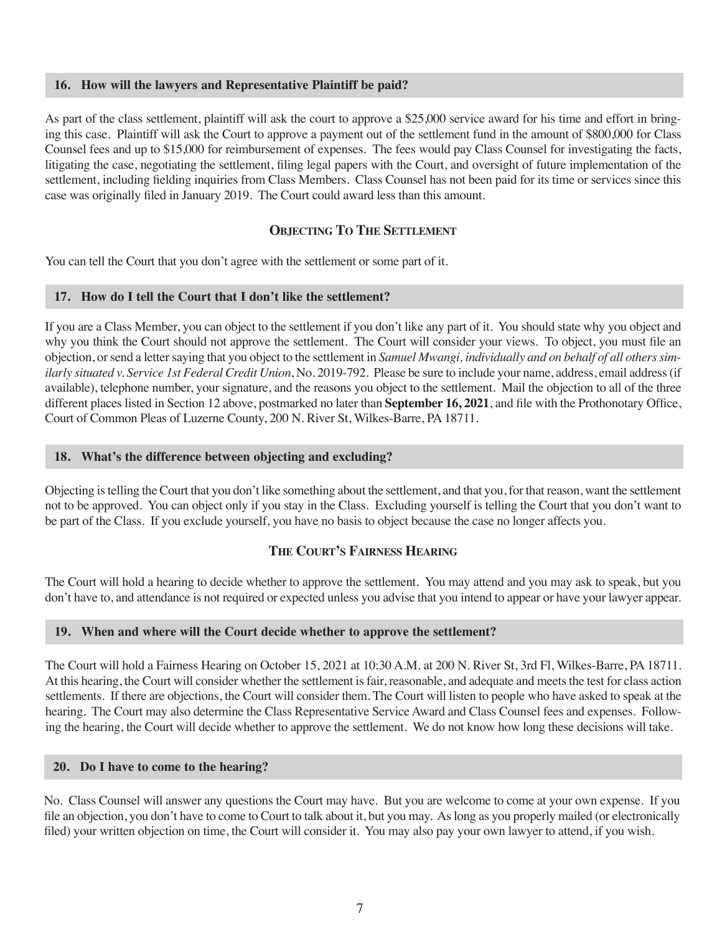#### **16. How will the lawyers and Representative Plaintiff be paid?**

As part of the class settlement, plaintiff will ask the court to approve a \$25,000 service award for his time and effort in bringing this case. Plaintiff will ask the Court to approve a payment out of the settlement fund in the amount of \$800,000 for Class Counsel fees and up to \$15,000 for reimbursement of expenses. The fees would pay Class Counsel for investigating the facts, litigating the case, negotiating the settlement, filing legal papers with the Court, and oversight of future implementation of the settlement, including fielding inquiries from Class Members. Class Counsel has not been paid for its time or services since this case was originally filed in January 2019. The Court could award less than this amount.

# **OBJECTING TO THE SETTLEMENT**

You can tell the Court that you don't agree with the settlement or some part of it.

#### **17. How do I tell the Court that I don't like the settlement?**

If you are a Class Member, you can object to the settlement if you don't like any part of it. You should state why you object and why you think the Court should not approve the settlement. The Court will consider your views. To object, you must file an objection, or send a letter saying that you object to the settlement in *Samuel Mwangi, individually and on behalf of all others similarly situated v. Service 1st Federal Credit Union*, No. 2019-792. Please be sure to include your name, address, email address (if available), telephone number, your signature, and the reasons you object to the settlement. Mail the objection to all of the three different places listed in Section 12 above, postmarked no later than **September 16, 2021**, and file with the Prothonotary Office, Court of Common Pleas of Luzerne County, 200 N. River St, Wilkes-Barre, PA 18711.

# **18. What's the difference between objecting and excluding?**

Objecting is telling the Court that you don't like something about the settlement, and that you, for that reason, want the settlement not to be approved. You can object only if you stay in the Class. Excluding yourself is telling the Court that you don't want to be part of the Class. If you exclude yourself, you have no basis to object because the case no longer affects you.

# **THE COURT'S FAIRNESS HEARING**

The Court will hold a hearing to decide whether to approve the settlement. You may attend and you may ask to speak, but you don't have to, and attendance is not required or expected unless you advise that you intend to appear or have your lawyer appear.

# **19. When and where will the Court decide whether to approve the settlement?**

The Court will hold a Fairness Hearing on October 15, 2021 at 10:30 A.M. at 200 N. River St, 3rd Fl, Wilkes-Barre, PA 18711. At this hearing, the Court will consider whether the settlement is fair, reasonable, and adequate and meets the test for class action settlements. If there are objections, the Court will consider them. The Court will listen to people who have asked to speak at the hearing. The Court may also determine the Class Representative Service Award and Class Counsel fees and expenses. Following the hearing, the Court will decide whether to approve the settlement. We do not know how long these decisions will take.

#### **20. Do I have to come to the hearing?**

No. Class Counsel will answer any questions the Court may have. But you are welcome to come at your own expense. If you file an objection, you don't have to come to Court to talk about it, but you may. As long as you properly mailed (or electronically filed) your written objection on time, the Court will consider it. You may also pay your own lawyer to attend, if you wish.